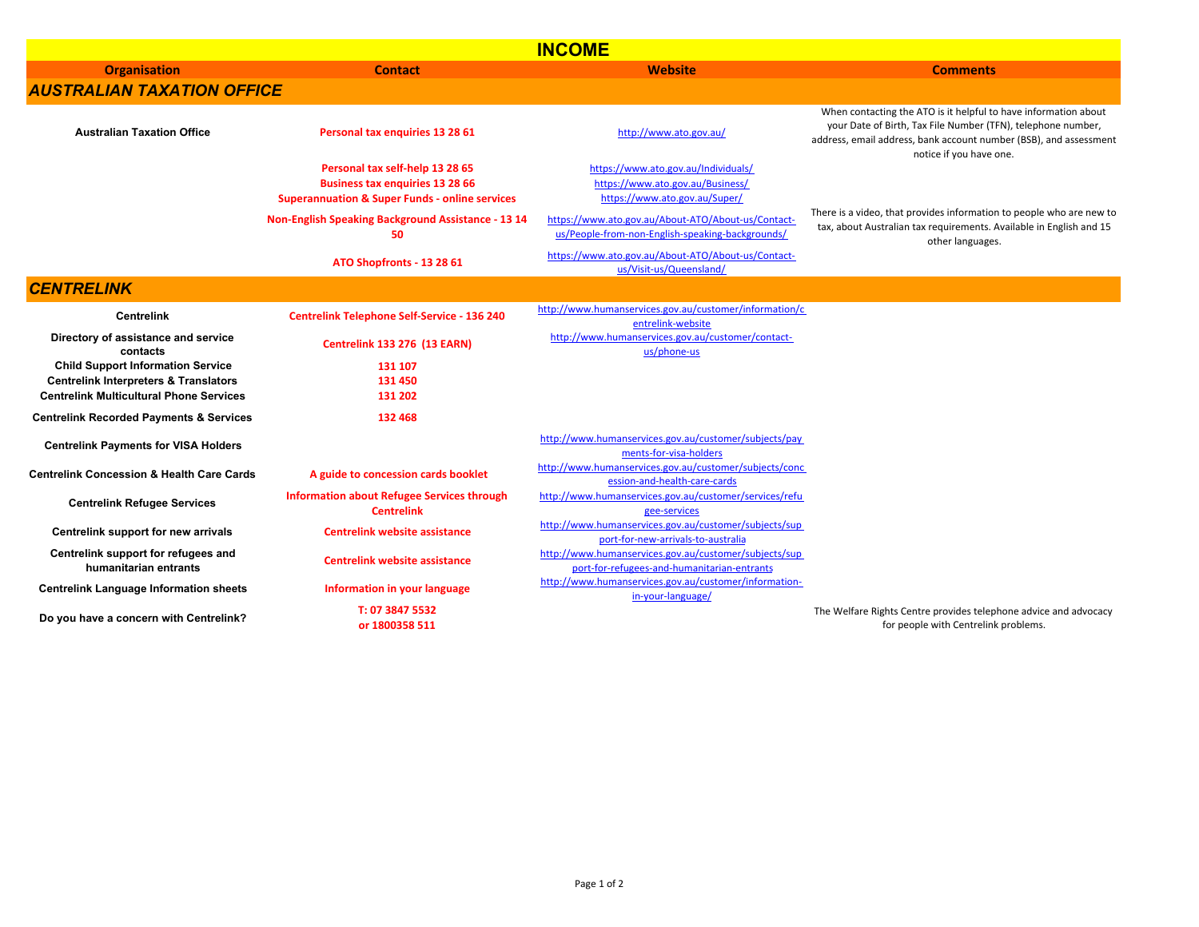| <b>INCOME</b>                                                                                                                                  |                                                                                                                                        |                                                                                                          |                                                                                                                                                                                                                                 |  |  |  |
|------------------------------------------------------------------------------------------------------------------------------------------------|----------------------------------------------------------------------------------------------------------------------------------------|----------------------------------------------------------------------------------------------------------|---------------------------------------------------------------------------------------------------------------------------------------------------------------------------------------------------------------------------------|--|--|--|
| <b>Organisation</b>                                                                                                                            | <b>Contact</b>                                                                                                                         | Website                                                                                                  | <b>Comments</b>                                                                                                                                                                                                                 |  |  |  |
| <b>AUSTRALIAN TAXATION OFFICE</b>                                                                                                              |                                                                                                                                        |                                                                                                          |                                                                                                                                                                                                                                 |  |  |  |
| <b>Australian Taxation Office</b>                                                                                                              | Personal tax enquiries 13 28 61                                                                                                        | http://www.ato.gov.au/                                                                                   | When contacting the ATO is it helpful to have information about<br>your Date of Birth, Tax File Number (TFN), telephone number,<br>address, email address, bank account number (BSB), and assessment<br>notice if you have one. |  |  |  |
|                                                                                                                                                | Personal tax self-help 13 28 65<br><b>Business tax enquiries 13 28 66</b><br><b>Superannuation &amp; Super Funds - online services</b> | https://www.ato.gov.au/Individuals/<br>https://www.ato.gov.au/Business/<br>https://www.ato.gov.au/Super/ |                                                                                                                                                                                                                                 |  |  |  |
|                                                                                                                                                | Non-English Speaking Background Assistance - 13 14<br>50                                                                               | https://www.ato.gov.au/About-ATO/About-us/Contact-<br>us/People-from-non-English-speaking-backgrounds/   | There is a video, that provides information to people who are new to<br>tax, about Australian tax requirements. Available in English and 15<br>other languages.                                                                 |  |  |  |
|                                                                                                                                                | ATO Shopfronts - 13 28 61                                                                                                              | https://www.ato.gov.au/About-ATO/About-us/Contact-<br>us/Visit-us/Queensland/                            |                                                                                                                                                                                                                                 |  |  |  |
| <b>CENTRELINK</b>                                                                                                                              |                                                                                                                                        |                                                                                                          |                                                                                                                                                                                                                                 |  |  |  |
| <b>Centrelink</b>                                                                                                                              | <b>Centrelink Telephone Self-Service - 136 240</b>                                                                                     | http://www.humanservices.gov.au/customer/information/c<br>entrelink-website                              |                                                                                                                                                                                                                                 |  |  |  |
| Directory of assistance and service<br>contacts                                                                                                | <b>Centrelink 133 276 (13 EARN)</b>                                                                                                    | http://www.humanservices.gov.au/customer/contact-<br>us/phone-us                                         |                                                                                                                                                                                                                                 |  |  |  |
| <b>Child Support Information Service</b><br><b>Centrelink Interpreters &amp; Translators</b><br><b>Centrelink Multicultural Phone Services</b> | 131 107<br>131 450<br>131 202                                                                                                          |                                                                                                          |                                                                                                                                                                                                                                 |  |  |  |
| <b>Centrelink Recorded Payments &amp; Services</b>                                                                                             | 132 468                                                                                                                                |                                                                                                          |                                                                                                                                                                                                                                 |  |  |  |
| <b>Centrelink Payments for VISA Holders</b>                                                                                                    |                                                                                                                                        | http://www.humanservices.gov.au/customer/subjects/pay<br>ments-for-visa-holders                          |                                                                                                                                                                                                                                 |  |  |  |
| <b>Centrelink Concession &amp; Health Care Cards</b>                                                                                           | A guide to concession cards booklet                                                                                                    | http://www.humanservices.gov.au/customer/subjects/conc<br>ession-and-health-care-cards                   |                                                                                                                                                                                                                                 |  |  |  |
| <b>Centrelink Refugee Services</b>                                                                                                             | <b>Information about Refugee Services through</b><br><b>Centrelink</b>                                                                 | http://www.humanservices.gov.au/customer/services/refu<br>gee-services                                   |                                                                                                                                                                                                                                 |  |  |  |
| Centrelink support for new arrivals                                                                                                            | <b>Centrelink website assistance</b>                                                                                                   | http://www.humanservices.gov.au/customer/subjects/sup<br>port-for-new-arrivals-to-australia              |                                                                                                                                                                                                                                 |  |  |  |
| Centrelink support for refugees and<br>humanitarian entrants                                                                                   | <b>Centrelink website assistance</b>                                                                                                   | http://www.humanservices.gov.au/customer/subjects/sup<br>port-for-refugees-and-humanitarian-entrants     |                                                                                                                                                                                                                                 |  |  |  |
| <b>Centrelink Language Information sheets</b>                                                                                                  | Information in your language                                                                                                           | http://www.humanservices.gov.au/customer/information-<br>in-your-language/                               |                                                                                                                                                                                                                                 |  |  |  |
| Do you have a concern with Centrelink?                                                                                                         | T: 07 3847 5532<br>or 1800358 511                                                                                                      |                                                                                                          | The Welfare Rights Centre provides telephone advice and advocacy<br>for people with Centrelink problems.                                                                                                                        |  |  |  |